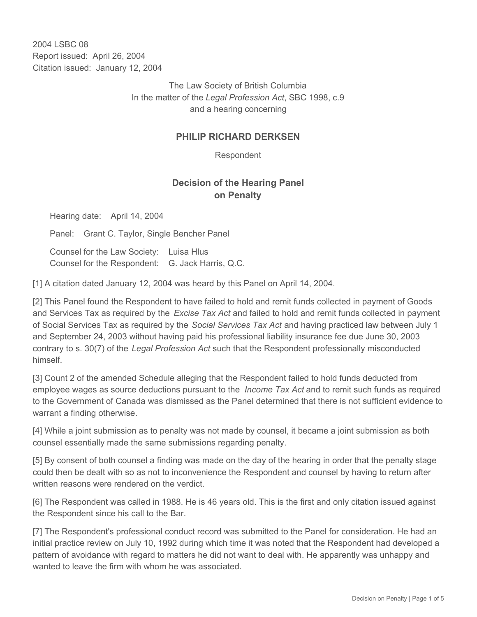2004 LSBC 08 Report issued: April 26, 2004 Citation issued: January 12, 2004

> The Law Society of British Columbia In the matter of the *Legal Profession Act*, SBC 1998, c.9 and a hearing concerning

## **PHILIP RICHARD DERKSEN**

Respondent

## **Decision of the Hearing Panel on Penalty**

Hearing date: April 14, 2004

Panel: Grant C. Taylor, Single Bencher Panel

Counsel for the Law Society: Luisa Hlus Counsel for the Respondent: G. Jack Harris, Q.C.

[1] A citation dated January 12, 2004 was heard by this Panel on April 14, 2004.

[2] This Panel found the Respondent to have failed to hold and remit funds collected in payment of Goods and Services Tax as required by the *Excise Tax Act* and failed to hold and remit funds collected in payment of Social Services Tax as required by the *Social Services Tax Act* and having practiced law between July 1 and September 24, 2003 without having paid his professional liability insurance fee due June 30, 2003 contrary to s. 30(7) of the *Legal Profession Act* such that the Respondent professionally misconducted himself.

[3] Count 2 of the amended Schedule alleging that the Respondent failed to hold funds deducted from employee wages as source deductions pursuant to the *Income Tax Act* and to remit such funds as required to the Government of Canada was dismissed as the Panel determined that there is not sufficient evidence to warrant a finding otherwise.

[4] While a joint submission as to penalty was not made by counsel, it became a joint submission as both counsel essentially made the same submissions regarding penalty.

[5] By consent of both counsel a finding was made on the day of the hearing in order that the penalty stage could then be dealt with so as not to inconvenience the Respondent and counsel by having to return after written reasons were rendered on the verdict.

[6] The Respondent was called in 1988. He is 46 years old. This is the first and only citation issued against the Respondent since his call to the Bar.

[7] The Respondent's professional conduct record was submitted to the Panel for consideration. He had an initial practice review on July 10, 1992 during which time it was noted that the Respondent had developed a pattern of avoidance with regard to matters he did not want to deal with. He apparently was unhappy and wanted to leave the firm with whom he was associated.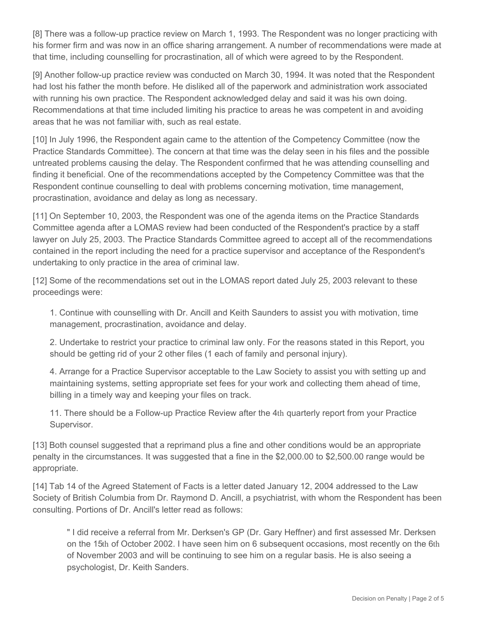[8] There was a follow-up practice review on March 1, 1993. The Respondent was no longer practicing with his former firm and was now in an office sharing arrangement. A number of recommendations were made at that time, including counselling for procrastination, all of which were agreed to by the Respondent.

[9] Another follow-up practice review was conducted on March 30, 1994. It was noted that the Respondent had lost his father the month before. He disliked all of the paperwork and administration work associated with running his own practice. The Respondent acknowledged delay and said it was his own doing. Recommendations at that time included limiting his practice to areas he was competent in and avoiding areas that he was not familiar with, such as real estate.

[10] In July 1996, the Respondent again came to the attention of the Competency Committee (now the Practice Standards Committee). The concern at that time was the delay seen in his files and the possible untreated problems causing the delay. The Respondent confirmed that he was attending counselling and finding it beneficial. One of the recommendations accepted by the Competency Committee was that the Respondent continue counselling to deal with problems concerning motivation, time management, procrastination, avoidance and delay as long as necessary.

[11] On September 10, 2003, the Respondent was one of the agenda items on the Practice Standards Committee agenda after a LOMAS review had been conducted of the Respondent's practice by a staff lawyer on July 25, 2003. The Practice Standards Committee agreed to accept all of the recommendations contained in the report including the need for a practice supervisor and acceptance of the Respondent's undertaking to only practice in the area of criminal law.

[12] Some of the recommendations set out in the LOMAS report dated July 25, 2003 relevant to these proceedings were:

1. Continue with counselling with Dr. Ancill and Keith Saunders to assist you with motivation, time management, procrastination, avoidance and delay.

2. Undertake to restrict your practice to criminal law only. For the reasons stated in this Report, you should be getting rid of your 2 other files (1 each of family and personal injury).

4. Arrange for a Practice Supervisor acceptable to the Law Society to assist you with setting up and maintaining systems, setting appropriate set fees for your work and collecting them ahead of time, billing in a timely way and keeping your files on track.

11. There should be a Follow-up Practice Review after the 4th quarterly report from your Practice Supervisor.

[13] Both counsel suggested that a reprimand plus a fine and other conditions would be an appropriate penalty in the circumstances. It was suggested that a fine in the \$2,000.00 to \$2,500.00 range would be appropriate.

[14] Tab 14 of the Agreed Statement of Facts is a letter dated January 12, 2004 addressed to the Law Society of British Columbia from Dr. Raymond D. Ancill, a psychiatrist, with whom the Respondent has been consulting. Portions of Dr. Ancill's letter read as follows:

" I did receive a referral from Mr. Derksen's GP (Dr. Gary Heffner) and first assessed Mr. Derksen on the 15th of October 2002. I have seen him on 6 subsequent occasions, most recently on the 6th of November 2003 and will be continuing to see him on a regular basis. He is also seeing a psychologist, Dr. Keith Sanders.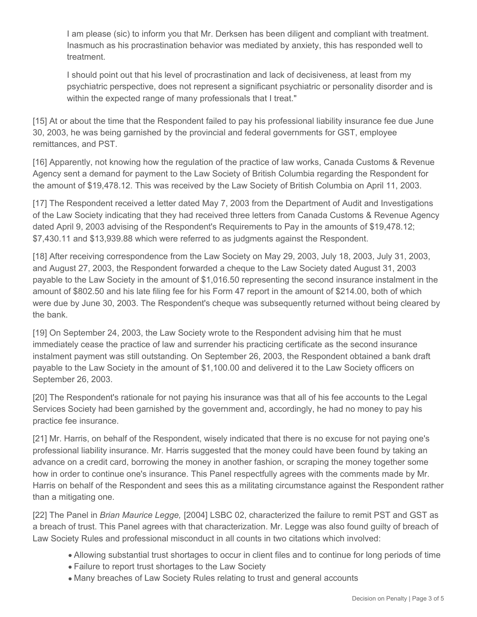I am please (sic) to inform you that Mr. Derksen has been diligent and compliant with treatment. Inasmuch as his procrastination behavior was mediated by anxiety, this has responded well to treatment.

I should point out that his level of procrastination and lack of decisiveness, at least from my psychiatric perspective, does not represent a significant psychiatric or personality disorder and is within the expected range of many professionals that I treat."

[15] At or about the time that the Respondent failed to pay his professional liability insurance fee due June 30, 2003, he was being garnished by the provincial and federal governments for GST, employee remittances, and PST.

[16] Apparently, not knowing how the regulation of the practice of law works, Canada Customs & Revenue Agency sent a demand for payment to the Law Society of British Columbia regarding the Respondent for the amount of \$19,478.12. This was received by the Law Society of British Columbia on April 11, 2003.

[17] The Respondent received a letter dated May 7, 2003 from the Department of Audit and Investigations of the Law Society indicating that they had received three letters from Canada Customs & Revenue Agency dated April 9, 2003 advising of the Respondent's Requirements to Pay in the amounts of \$19,478.12; \$7,430.11 and \$13,939.88 which were referred to as judgments against the Respondent.

[18] After receiving correspondence from the Law Society on May 29, 2003, July 18, 2003, July 31, 2003, and August 27, 2003, the Respondent forwarded a cheque to the Law Society dated August 31, 2003 payable to the Law Society in the amount of \$1,016.50 representing the second insurance instalment in the amount of \$802.50 and his late filing fee for his Form 47 report in the amount of \$214.00, both of which were due by June 30, 2003. The Respondent's cheque was subsequently returned without being cleared by the bank.

[19] On September 24, 2003, the Law Society wrote to the Respondent advising him that he must immediately cease the practice of law and surrender his practicing certificate as the second insurance instalment payment was still outstanding. On September 26, 2003, the Respondent obtained a bank draft payable to the Law Society in the amount of \$1,100.00 and delivered it to the Law Society officers on September 26, 2003.

[20] The Respondent's rationale for not paying his insurance was that all of his fee accounts to the Legal Services Society had been garnished by the government and, accordingly, he had no money to pay his practice fee insurance.

[21] Mr. Harris, on behalf of the Respondent, wisely indicated that there is no excuse for not paying one's professional liability insurance. Mr. Harris suggested that the money could have been found by taking an advance on a credit card, borrowing the money in another fashion, or scraping the money together some how in order to continue one's insurance. This Panel respectfully agrees with the comments made by Mr. Harris on behalf of the Respondent and sees this as a militating circumstance against the Respondent rather than a mitigating one.

[22] The Panel in *Brian Maurice Legge,* [2004] LSBC 02, characterized the failure to remit PST and GST as a breach of trust. This Panel agrees with that characterization. Mr. Legge was also found guilty of breach of Law Society Rules and professional misconduct in all counts in two citations which involved:

- Allowing substantial trust shortages to occur in client files and to continue for long periods of time
- Failure to report trust shortages to the Law Society
- Many breaches of Law Society Rules relating to trust and general accounts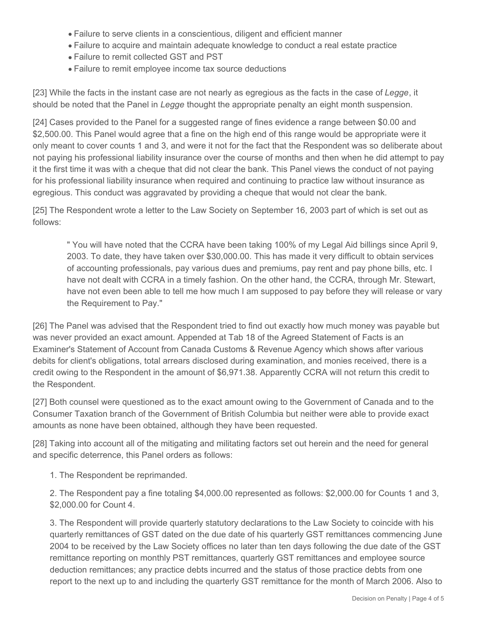- Failure to serve clients in a conscientious, diligent and efficient manner
- Failure to acquire and maintain adequate knowledge to conduct a real estate practice
- Failure to remit collected GST and PST
- Failure to remit employee income tax source deductions

[23] While the facts in the instant case are not nearly as egregious as the facts in the case of *Legge*, it should be noted that the Panel in *Legge* thought the appropriate penalty an eight month suspension.

[24] Cases provided to the Panel for a suggested range of fines evidence a range between \$0.00 and \$2,500.00. This Panel would agree that a fine on the high end of this range would be appropriate were it only meant to cover counts 1 and 3, and were it not for the fact that the Respondent was so deliberate about not paying his professional liability insurance over the course of months and then when he did attempt to pay it the first time it was with a cheque that did not clear the bank. This Panel views the conduct of not paying for his professional liability insurance when required and continuing to practice law without insurance as egregious. This conduct was aggravated by providing a cheque that would not clear the bank.

[25] The Respondent wrote a letter to the Law Society on September 16, 2003 part of which is set out as follows:

" You will have noted that the CCRA have been taking 100% of my Legal Aid billings since April 9, 2003. To date, they have taken over \$30,000.00. This has made it very difficult to obtain services of accounting professionals, pay various dues and premiums, pay rent and pay phone bills, etc. I have not dealt with CCRA in a timely fashion. On the other hand, the CCRA, through Mr. Stewart, have not even been able to tell me how much I am supposed to pay before they will release or vary the Requirement to Pay."

[26] The Panel was advised that the Respondent tried to find out exactly how much money was payable but was never provided an exact amount. Appended at Tab 18 of the Agreed Statement of Facts is an Examiner's Statement of Account from Canada Customs & Revenue Agency which shows after various debits for client's obligations, total arrears disclosed during examination, and monies received, there is a credit owing to the Respondent in the amount of \$6,971.38. Apparently CCRA will not return this credit to the Respondent.

[27] Both counsel were questioned as to the exact amount owing to the Government of Canada and to the Consumer Taxation branch of the Government of British Columbia but neither were able to provide exact amounts as none have been obtained, although they have been requested.

[28] Taking into account all of the mitigating and militating factors set out herein and the need for general and specific deterrence, this Panel orders as follows:

1. The Respondent be reprimanded.

2. The Respondent pay a fine totaling \$4,000.00 represented as follows: \$2,000.00 for Counts 1 and 3, \$2,000.00 for Count 4.

3. The Respondent will provide quarterly statutory declarations to the Law Society to coincide with his quarterly remittances of GST dated on the due date of his quarterly GST remittances commencing June 2004 to be received by the Law Society offices no later than ten days following the due date of the GST remittance reporting on monthly PST remittances, quarterly GST remittances and employee source deduction remittances; any practice debts incurred and the status of those practice debts from one report to the next up to and including the quarterly GST remittance for the month of March 2006. Also to